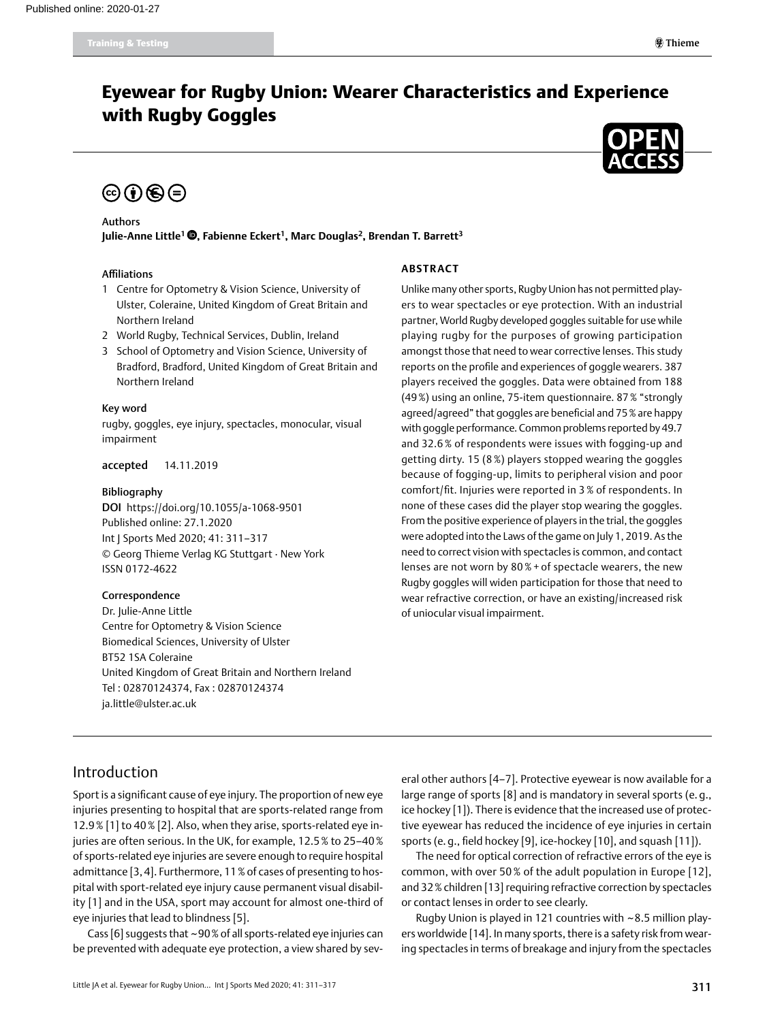## Eyewear for Rugby Union: Wearer Characteristics and Experience with Rugby Goggles



# $\circledcirc \bullet \circledcirc$

#### Authors

Julie-Anne Little<sup>1</sup> <sup>(1</sup>)[,](https://orcid.org/0000-0001-5242-8066) Fabienne Eckert<sup>1</sup>, Marc Douglas<sup>2</sup>, Brendan T. Barrett<sup>3</sup>

#### Affiliations

- 1 Centre for Optometry & Vision Science, University of Ulster, Coleraine, United Kingdom of Great Britain and Northern Ireland
- 2 World Rugby, Technical Services, Dublin, Ireland
- 3 School of Optometry and Vision Science, University of Bradford, Bradford, United Kingdom of Great Britain and Northern Ireland

#### Key word

rugby, goggles, eye injury, spectacles, monocular, visual impairment

accepted 14.11.2019

#### Bibliography

DOI https://doi.org/10.1055/a-1068-9501 Published online: 27.1.2020 Int J Sports Med 2020; 41: 311–317 © Georg Thieme Verlag KG Stuttgart · New York ISSN 0172-4622

#### Correspondence

Dr. Julie-Anne Little Centre for Optometry & Vision Science Biomedical Sciences, University of Ulster BT52 1SA Coleraine United Kingdom of Great Britain and Northern Ireland Tel : 02870124374, Fax : 02870124374 [ja.little@ulster.ac.uk](mailto:ja.little@ulster.ac.uk)

#### **Abstract**

Unlike many other sports, Rugby Union has not permitted players to wear spectacles or eye protection. With an industrial partner, World Rugby developed goggles suitable for use while playing rugby for the purposes of growing participation amongst those that need to wear corrective lenses. This study reports on the profile and experiences of goggle wearers. 387 players received the goggles. Data were obtained from 188 (49%) using an online, 75-item questionnaire. 87% "strongly agreed/agreed" that goggles are beneficial and 75% are happy with goggle performance. Common problems reported by 49.7 and 32.6 % of respondents were issues with fogging-up and getting dirty. 15 (8 %) players stopped wearing the goggles because of fogging-up, limits to peripheral vision and poor comfort/fit. Injuries were reported in 3 % of respondents. In none of these cases did the player stop wearing the goggles. From the positive experience of players in the trial, the goggles were adopted into the Laws of the game on July 1, 2019. As the need to correct vision with spectacles is common, and contact lenses are not worn by 80 % + of spectacle wearers, the new Rugby goggles will widen participation for those that need to wear refractive correction, or have an existing/increased risk of uniocular visual impairment.

## Introduction

Sport is a significant cause of eye injury. The proportion of new eye injuries presenting to hospital that are sports-related range from 12.9% [1] to 40% [2]. Also, when they arise, sports-related eye injuries are often serious. In the UK, for example, 12.5% to 25–40% of sports-related eye injuries are severe enough to require hospital admittance [3,4]. Furthermore, 11% of cases of presenting to hospital with sport-related eye injury cause permanent visual disability [1] and in the USA, sport may account for almost one-third of eye injuries that lead to blindness [5].

Cass [6] suggests that ~90% of all sports-related eye injuries can be prevented with adequate eye protection, a view shared by several other authors [4–7]. Protective eyewear is now available for a large range of sports [8] and is mandatory in several sports (e. g., ice hockey [1]). There is evidence that the increased use of protective eyewear has reduced the incidence of eye injuries in certain sports (e. g., field hockey [9], ice-hockey [10], and squash [11]).

The need for optical correction of refractive errors of the eye is common, with over 50 % of the adult population in Europe [12], and 32% children [13] requiring refractive correction by spectacles or contact lenses in order to see clearly.

Rugby Union is played in 121 countries with ~8.5 million players worldwide [14]. In many sports, there is a safety risk from wearing spectacles in terms of breakage and injury from the spectacles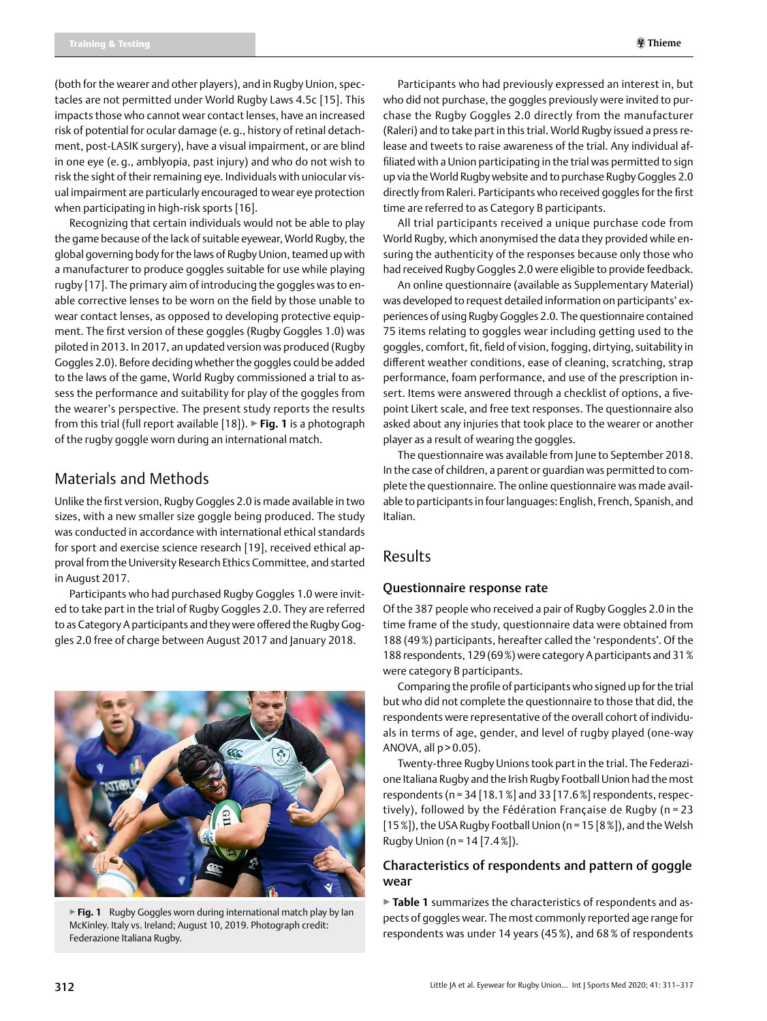(both for the wearer and other players), and in Rugby Union, spectacles are not permitted under World Rugby Laws 4.5c [15]. This impacts those who cannot wear contact lenses, have an increased risk of potential for ocular damage (e. g., history of retinal detachment, post-LASIK surgery), have a visual impairment, or are blind in one eye (e. g., amblyopia, past injury) and who do not wish to risk the sight of their remaining eye. Individuals with uniocular visual impairment are particularly encouraged to wear eye protection when participating in high-risk sports [16].

Recognizing that certain individuals would not be able to play the game because of the lack of suitable eyewear, World Rugby, the global governing body for the laws of Rugby Union, teamed up with a manufacturer to produce goggles suitable for use while playing rugby [17]. The primary aim of introducing the goggles was to enable corrective lenses to be worn on the field by those unable to wear contact lenses, as opposed to developing protective equipment. The first version of these goggles (Rugby Goggles 1.0) was piloted in 2013. In 2017, an updated version was produced (Rugby Goggles 2.0). Before deciding whether the goggles could be added to the laws of the game, World Rugby commissioned a trial to assess the performance and suitability for play of the goggles from the wearer's perspective. The present study reports the results from this trial (full report available [18]). ▶**Fig. 1** is a photograph of the rugby goggle worn during an international match.

## Materials and Methods

Unlike the first version, Rugby Goggles 2.0 is made available in two sizes, with a new smaller size goggle being produced. The study was conducted in accordance with international ethical standards for sport and exercise science research [19], received ethical approval from the University Research Ethics Committee, and started in August 2017.

Participants who had purchased Rugby Goggles 1.0 were invited to take part in the trial of Rugby Goggles 2.0. They are referred to as Category A participants and they were offered the Rugby Goggles 2.0 free of charge between August 2017 and January 2018.



▶ Fig. 1 Rugby Goggles worn during international match play by Ian McKinley. Italy vs. Ireland; August 10, 2019. Photograph credit: Federazione Italiana Rugby.

Participants who had previously expressed an interest in, but who did not purchase, the goggles previously were invited to purchase the Rugby Goggles 2.0 directly from the manufacturer (Raleri) and to take part in this trial. World Rugby issued a press release and tweets to raise awareness of the trial. Any individual affiliated with a Union participating in the trial was permitted to sign up via the World Rugby website and to purchase Rugby Goggles 2.0 directly from Raleri. Participants who received goggles for the first time are referred to as Category B participants.

All trial participants received a unique purchase code from World Rugby, which anonymised the data they provided while ensuring the authenticity of the responses because only those who had received Rugby Goggles 2.0 were eligible to provide feedback.

An online questionnaire (available as supplementary material) was developed to request detailed information on participants' experiences of using Rugby Goggles 2.0. The questionnaire contained 75 items relating to goggles wear including getting used to the goggles, comfort, fit, field of vision, fogging, dirtying, suitability in different weather conditions, ease of cleaning, scratching, strap performance, foam performance, and use of the prescription insert. Items were answered through a checklist of options, a fivepoint Likert scale, and free text responses. The questionnaire also asked about any injuries that took place to the wearer or another player as a result of wearing the goggles.

The questionnaire was available from June to September 2018. In the case of children, a parent or guardian was permitted to complete the questionnaire. The online questionnaire was made available to participants in four languages: English, French, Spanish, and Italian.

## Results

#### Questionnaire response rate

Of the 387 people who received a pair of Rugby Goggles 2.0 in the time frame of the study, questionnaire data were obtained from 188 (49%) participants, hereafter called the 'respondents'. Of the 188 respondents, 129 (69%) were category A participants and 31% were category B participants.

Comparing the profile of participants who signed up for the trial but who did not complete the questionnaire to those that did, the respondents were representative of the overall cohort of individuals in terms of age, gender, and level of rugby played (one-way ANOVA, all  $p > 0.05$ ).

Twenty-three Rugby Unions took part in the trial. The Federazione Italiana Rugby and the Irish Rugby Football Union had the most respondents (n = 34 [18.1%] and 33 [17.6%] respondents, respectively), followed by the Fédération Française de Rugby (n = 23 [15%]), the USA Rugby Football Union (n =15 [8%]), and the Welsh Rugby Union ( $n = 14$  [7.4%]).

#### Characteristics of respondents and pattern of goggle wear

▶**Table 1** summarizes the characteristics of respondents and aspects of goggles wear. The most commonly reported age range for respondents was under 14 years (45%), and 68% of respondents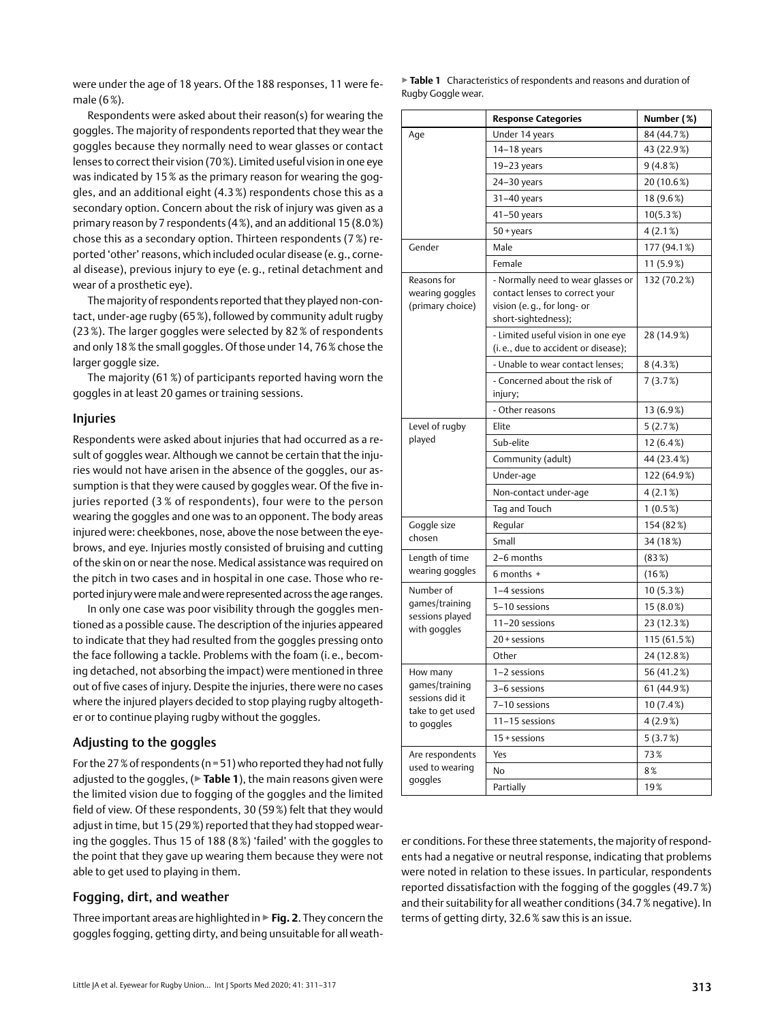were under the age of 18 years. Of the 188 responses, 11 were female (6%).

Respondents were asked about their reason(s) for wearing the goggles. The majority of respondents reported that they wear the goggles because they normally need to wear glasses or contact lenses to correct their vision (70%). Limited useful vision in one eye was indicated by 15% as the primary reason for wearing the goggles, and an additional eight (4.3 %) respondents chose this as a secondary option. Concern about the risk of injury was given as a primary reason by 7 respondents (4%), and an additional 15 (8.0%) chose this as a secondary option. Thirteen respondents (7 %) reported 'other' reasons, which included ocular disease (e.g., corneal disease), previous injury to eye (e. g., retinal detachment and wear of a prosthetic eye).

The majority of respondents reported that they played non-contact, under-age rugby (65%), followed by community adult rugby (23 %). The larger goggles were selected by 82 % of respondents and only 18% the small goggles. Of those under 14, 76% chose the larger goggle size.

The majority (61 %) of participants reported having worn the goggles in at least 20 games or training sessions.

#### Injuries

Respondents were asked about injuries that had occurred as a result of goggles wear. Although we cannot be certain that the injuries would not have arisen in the absence of the goggles, our assumption is that they were caused by goggles wear. Of the five injuries reported (3 % of respondents), four were to the person wearing the goggles and one was to an opponent. The body areas injured were: cheekbones, nose, above the nose between the eyebrows, and eye. Injuries mostly consisted of bruising and cutting of the skin on or near the nose. Medical assistance was required on the pitch in two cases and in hospital in one case. Those who reported injury were male and were represented across the age ranges.

In only one case was poor visibility through the goggles mentioned as a possible cause. The description of the injuries appeared to indicate that they had resulted from the goggles pressing onto the face following a tackle. Problems with the foam (i. e., becoming detached, not absorbing the impact) were mentioned in three out of five cases of injury. Despite the injuries, there were no cases where the injured players decided to stop playing rugby altogether or to continue playing rugby without the goggles.

#### Adjusting to the goggles

For the 27% of respondents ( $n=51$ ) who reported they had not fully adjusted to the goggles, (▶**Table 1**), the main reasons given were the limited vision due to fogging of the goggles and the limited field of view. Of these respondents, 30 (59%) felt that they would adjust in time, but 15 (29%) reported that they had stopped wearing the goggles. Thus 15 of 188 (8%) 'failed' with the goggles to the point that they gave up wearing them because they were not able to get used to playing in them.

#### Fogging, dirt, and weather

Three important areas are highlighted in ▶**Fig. 2**. They concern the goggles fogging, getting dirty, and being unsuitable for all weath-

|                    | Table 1 Characteristics of respondents and reasons and duration of |
|--------------------|--------------------------------------------------------------------|
| Rugby Goggle wear. |                                                                    |

|                                                    | <b>Response Categories</b>                                                                                                | Number (%)  |
|----------------------------------------------------|---------------------------------------------------------------------------------------------------------------------------|-------------|
| Age                                                | Under 14 years                                                                                                            | 84 (44.7%)  |
|                                                    | $14-18$ years                                                                                                             | 43 (22.9%)  |
|                                                    | 19–23 years                                                                                                               | 9(4.8%)     |
|                                                    | 24–30 years                                                                                                               | 20 (10.6%)  |
|                                                    | 31-40 years                                                                                                               | 18 (9.6%)   |
|                                                    | 41-50 years                                                                                                               | $10(5.3\%)$ |
|                                                    | $50 + \gamma$ ears                                                                                                        | 4 (2.1%)    |
| Gender                                             | Male                                                                                                                      | 177 (94.1%) |
|                                                    | Female                                                                                                                    | 11 (5.9%)   |
| Reasons for<br>wearing goggles<br>(primary choice) | - Normally need to wear glasses or<br>contact lenses to correct your<br>vision (e.g., for long- or<br>short-sightedness); | 132 (70.2%) |
|                                                    | - Limited useful vision in one eye<br>(i.e., due to accident or disease);                                                 | 28 (14.9%)  |
|                                                    | - Unable to wear contact lenses;                                                                                          | 8 (4.3%)    |
|                                                    | - Concerned about the risk of<br>injury;                                                                                  | 7 (3.7%)    |
|                                                    | - Other reasons                                                                                                           | 13 (6.9%)   |
| Level of rugby                                     | Elite                                                                                                                     | 5 (2.7%)    |
| played                                             | Sub-elite                                                                                                                 | 12 (6.4%)   |
|                                                    | Community (adult)                                                                                                         | 44 (23.4%)  |
|                                                    | Under-age                                                                                                                 | 122 (64.9%) |
|                                                    | Non-contact under-age                                                                                                     | 4 (2.1%)    |
|                                                    | Tag and Touch                                                                                                             | $1(0.5\%)$  |
| Goggle size                                        | Regular                                                                                                                   | 154 (82%)   |
| chosen                                             | Small                                                                                                                     | 34 (18%)    |
| Length of time                                     | 2-6 months                                                                                                                | (83%)       |
| wearing goggles                                    | 6 months +                                                                                                                | (16%)       |
| Number of                                          | 1-4 sessions                                                                                                              | $10(5.3\%)$ |
| games/training                                     | 5-10 sessions                                                                                                             | 15 (8.0%)   |
| sessions played<br>with goggles                    | 11-20 sessions                                                                                                            | 23 (12.3%)  |
|                                                    | $20 +$ sessions                                                                                                           | 115 (61.5%) |
|                                                    | Other                                                                                                                     | 24 (12.8%)  |
| How many                                           | 1-2 sessions                                                                                                              | 56 (41.2%)  |
| games/training                                     | 3-6 sessions                                                                                                              | 61 (44.9%)  |
| sessions did it<br>take to get used                | 7-10 sessions                                                                                                             | 10 (7.4%)   |
| to goggles                                         | 11-15 sessions                                                                                                            | 4(2.9%)     |
|                                                    | $15 +$ sessions                                                                                                           | 5(3.7%)     |
| Are respondents                                    | Yes                                                                                                                       | 73%         |
| used to wearing                                    | No                                                                                                                        | 8%          |
| goggles                                            | Partially                                                                                                                 | 19%         |

er conditions. For these three statements, the majority of respondents had a negative or neutral response, indicating that problems were noted in relation to these issues. In particular, respondents reported dissatisfaction with the fogging of the goggles (49.7%) and their suitability for all weather conditions (34.7% negative). In terms of getting dirty, 32.6% saw this is an issue.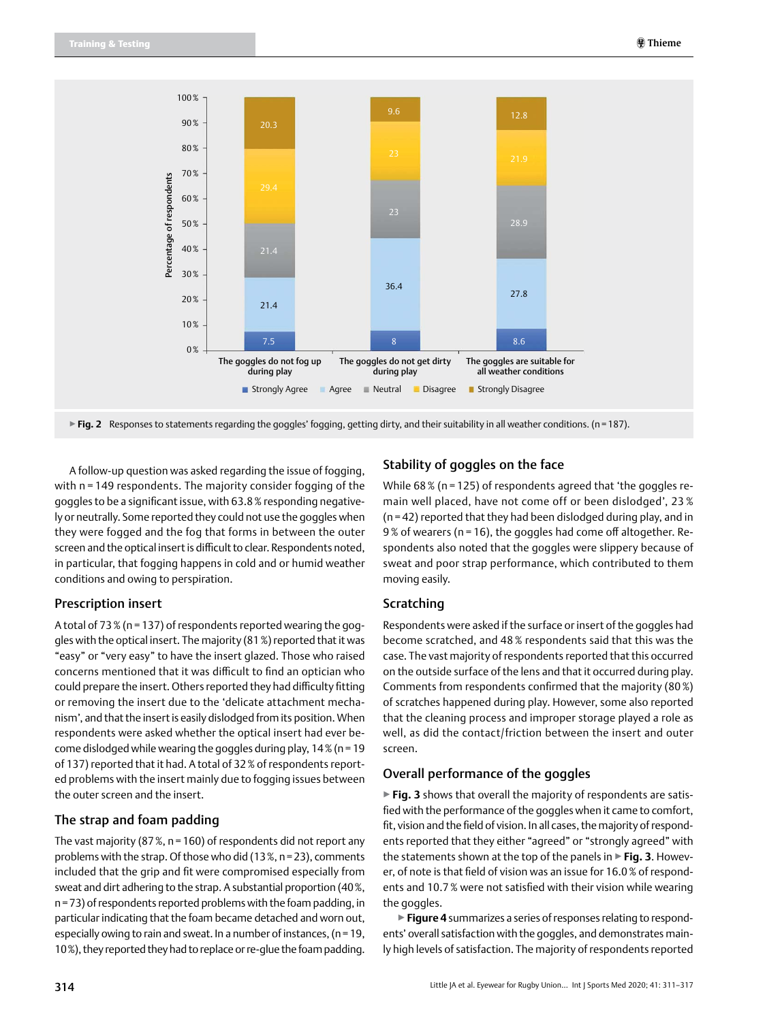

▶**Fig. 2** Responses to statements regarding the goggles' fogging, getting dirty, and their suitability in all weather conditions. (n=187).

A follow-up question was asked regarding the issue of fogging, with n = 149 respondents. The majority consider fogging of the goggles to be a significant issue, with 63.8% responding negatively or neutrally. Some reported they could not use the goggles when they were fogged and the fog that forms in between the outer screen and the optical insert is difficult to clear. Respondents noted, in particular, that fogging happens in cold and or humid weather conditions and owing to perspiration.

#### Prescription insert

A total of 73% (n = 137) of respondents reported wearing the goggles with the optical insert. The majority (81%) reported that it was "easy" or "very easy" to have the insert glazed. Those who raised concerns mentioned that it was difficult to find an optician who could prepare the insert. Others reported they had difficulty fitting or removing the insert due to the 'delicate attachment mechanism', and that the insert is easily dislodged from its position. When respondents were asked whether the optical insert had ever become dislodged while wearing the goggles during play,  $14\%$  (n = 19 of 137) reported that it had. A total of 32% of respondents reported problems with the insert mainly due to fogging issues between the outer screen and the insert.

#### The strap and foam padding

The vast majority (87%, n=160) of respondents did not report any problems with the strap. Of those who did (13%, n=23), comments included that the grip and fit were compromised especially from sweat and dirt adhering to the strap. A substantial proportion (40%, n=73) of respondents reported problems with the foam padding, in particular indicating that the foam became detached and worn out, especially owing to rain and sweat. In a number of instances, (n=19, 10%), they reported they had to replace or re-glue the foam padding.

#### Stability of goggles on the face

While 68% (n = 125) of respondents agreed that 'the goggles remain well placed, have not come off or been dislodged', 23 % (n = 42) reported that they had been dislodged during play, and in 9% of wearers (n = 16), the goggles had come off altogether. Respondents also noted that the goggles were slippery because of sweat and poor strap performance, which contributed to them moving easily.

#### Scratching

Respondents were asked if the surface or insert of the goggles had become scratched, and 48 % respondents said that this was the case. The vast majority of respondents reported that this occurred on the outside surface of the lens and that it occurred during play. Comments from respondents confirmed that the majority (80%) of scratches happened during play. However, some also reported that the cleaning process and improper storage played a role as well, as did the contact/friction between the insert and outer screen.

#### Overall performance of the goggles

▶ Fig. 3 shows that overall the majority of respondents are satisfied with the performance of the goggles when it came to comfort, fit, vision and the field of vision. In all cases, the majority of respondents reported that they either "agreed" or "strongly agreed" with the statements shown at the top of the panels in ▶**Fig. 3**. However, of note is that field of vision was an issue for 16.0% of respondents and 10.7% were not satisfied with their vision while wearing the goggles.

▶**Figure 4** summarizes a series of responses relating to respondents' overall satisfaction with the goggles, and demonstrates mainly high levels of satisfaction. The majority of respondents reported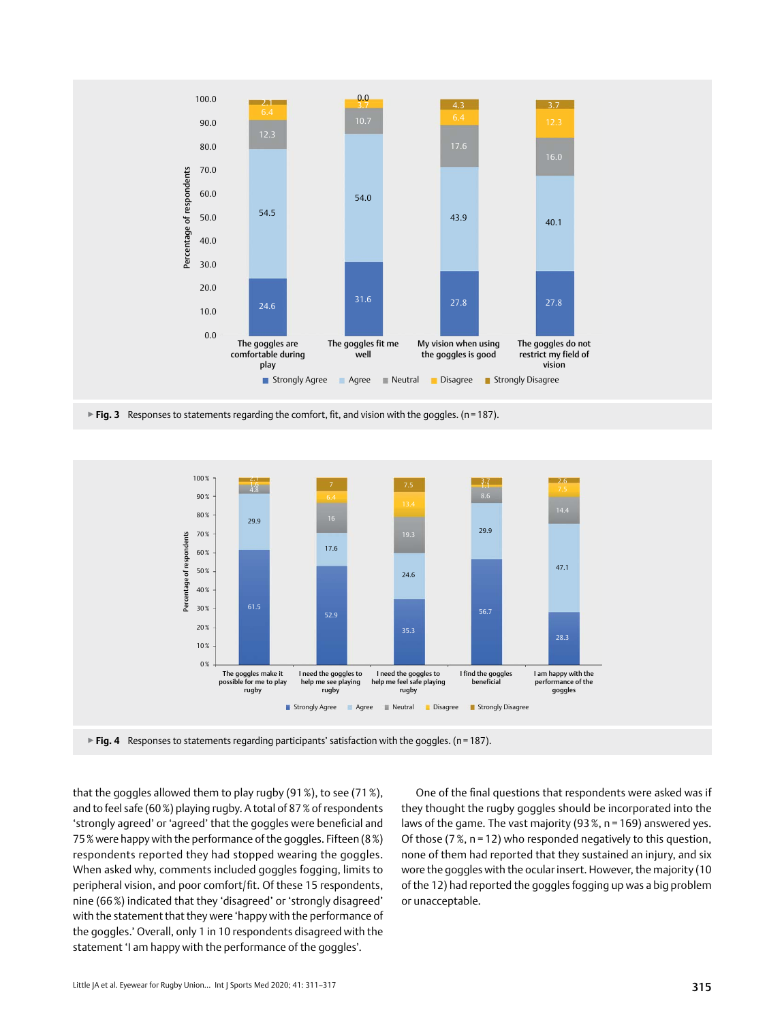

▶**Fig. 3** Responses to statements regarding the comfort, fit, and vision with the goggles. (n=187).



▶ Fig. 4 Responses to statements regarding participants' satisfaction with the goggles. (n=187).

that the goggles allowed them to play rugby (91%), to see (71%), and to feel safe (60%) playing rugby. A total of 87% of respondents 'strongly agreed' or 'agreed' that the goggles were beneficial and 75% were happy with the performance of the goggles. Fifteen (8%) respondents reported they had stopped wearing the goggles. When asked why, comments included goggles fogging, limits to peripheral vision, and poor comfort/fit. Of these 15 respondents, nine (66%) indicated that they 'disagreed' or 'strongly disagreed' with the statement that they were 'happy with the performance of the goggles.' Overall, only 1 in 10 respondents disagreed with the statement 'I am happy with the performance of the goggles'.

One of the final questions that respondents were asked was if they thought the rugby goggles should be incorporated into the laws of the game. The vast majority (93%,  $n = 169$ ) answered yes. Of those (7%, n = 12) who responded negatively to this question, none of them had reported that they sustained an injury, and six wore the goggles with the ocular insert. However, the majority (10 of the 12) had reported the goggles fogging up was a big problem or unacceptable.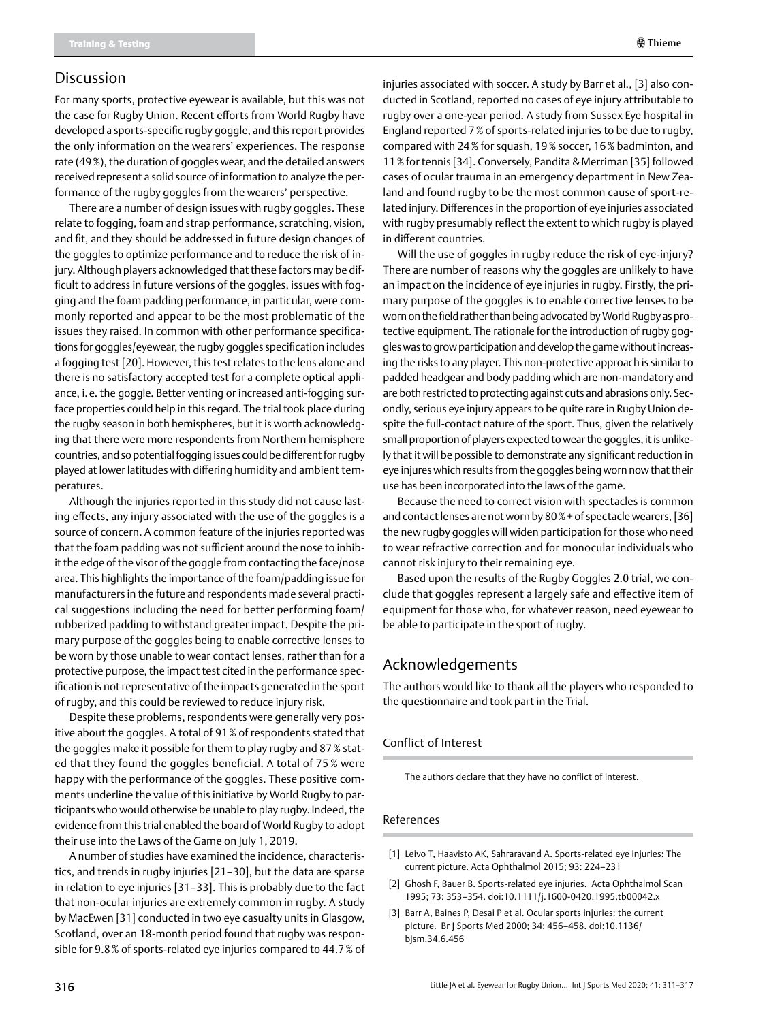#### Discussion

For many sports, protective eyewear is available, but this was not the case for Rugby Union. Recent efforts from World Rugby have developed a sports-specific rugby goggle, and this report provides the only information on the wearers' experiences. The response rate (49%), the duration of goggles wear, and the detailed answers received represent a solid source of information to analyze the performance of the rugby goggles from the wearers' perspective.

There are a number of design issues with rugby goggles. These relate to fogging, foam and strap performance, scratching, vision, and fit, and they should be addressed in future design changes of the goggles to optimize performance and to reduce the risk of injury. Although players acknowledged that these factors may be difficult to address in future versions of the goggles, issues with fogging and the foam padding performance, in particular, were commonly reported and appear to be the most problematic of the issues they raised. In common with other performance specifications for goggles/eyewear, the rugby goggles specification includes a fogging test [20]. However, this test relates to the lens alone and there is no satisfactory accepted test for a complete optical appliance, i.e. the goggle. Better venting or increased anti-fogging surface properties could help in this regard. The trial took place during the rugby season in both hemispheres, but it is worth acknowledging that there were more respondents from Northern hemisphere countries, and so potential fogging issues could be different for rugby played at lower latitudes with differing humidity and ambient temperatures.

Although the injuries reported in this study did not cause lasting effects, any injury associated with the use of the goggles is a source of concern. A common feature of the injuries reported was that the foam padding was not sufficient around the nose to inhibit the edge of the visor of the goggle from contacting the face/nose area. This highlights the importance of the foam/padding issue for manufacturers in the future and respondents made several practical suggestions including the need for better performing foam/ rubberized padding to withstand greater impact. Despite the primary purpose of the goggles being to enable corrective lenses to be worn by those unable to wear contact lenses, rather than for a protective purpose, the impact test cited in the performance specification is not representative of the impacts generated in the sport of rugby, and this could be reviewed to reduce injury risk.

Despite these problems, respondents were generally very positive about the goggles. A total of 91% of respondents stated that the goggles make it possible for them to play rugby and 87% stated that they found the goggles beneficial. A total of 75 % were happy with the performance of the goggles. These positive comments underline the value of this initiative by World Rugby to participants who would otherwise be unable to play rugby. Indeed, the evidence from this trial enabled the board of World Rugby to adopt their use into the Laws of the Game on July 1, 2019.

A number of studies have examined the incidence, characteristics, and trends in rugby injuries [21–30], but the data are sparse in relation to eye injuries [31–33]. This is probably due to the fact that non-ocular injuries are extremely common in rugby. A study by MacEwen [31] conducted in two eye casualty units in Glasgow, Scotland, over an 18-month period found that rugby was responsible for 9.8% of sports-related eye injuries compared to 44.7% of injuries associated with soccer. A study by Barr et al., [3] also conducted in Scotland, reported no cases of eye injury attributable to rugby over a one-year period. A study from Sussex Eye hospital in England reported 7% of sports-related injuries to be due to rugby, compared with 24% for squash, 19% soccer, 16% badminton, and 11% for tennis [34]. Conversely, Pandita & Merriman [35] followed cases of ocular trauma in an emergency department in New Zealand and found rugby to be the most common cause of sport-related injury. Differences in the proportion of eye injuries associated with rugby presumably reflect the extent to which rugby is played in different countries.

Will the use of goggles in rugby reduce the risk of eye-injury? There are number of reasons why the goggles are unlikely to have an impact on the incidence of eye injuries in rugby. Firstly, the primary purpose of the goggles is to enable corrective lenses to be worn on the field rather than being advocated by World Rugby as protective equipment. The rationale for the introduction of rugby goggles was to grow participation and develop the game without increasing the risks to any player. This non-protective approach is similar to padded headgear and body padding which are non-mandatory and are both restricted to protecting against cuts and abrasions only. Secondly, serious eye injury appears to be quite rare in Rugby Union despite the full-contact nature of the sport. Thus, given the relatively small proportion of players expected to wear the goggles, it is unlikely that it will be possible to demonstrate any significant reduction in eye injures which results from the goggles being worn now that their use has been incorporated into the laws of the game.

Because the need to correct vision with spectacles is common and contact lenses are not worn by 80%+of spectacle wearers, [36] the new rugby goggles will widen participation for those who need to wear refractive correction and for monocular individuals who cannot risk injury to their remaining eye.

Based upon the results of the Rugby Goggles 2.0 trial, we conclude that goggles represent a largely safe and effective item of equipment for those who, for whatever reason, need eyewear to be able to participate in the sport of rugby.

## Acknowledgements

The authors would like to thank all the players who responded to the questionnaire and took part in the Trial.

#### Conflict of Interest

The authors declare that they have no conflict of interest.

#### References

- [1] Leivo T, Haavisto AK, Sahraravand A. Sports-related eye injuries: the current picture. Acta Ophthalmol 2015; 93: 224–231
- [2] Ghosh F, Bauer B. Sports-related eye injuries. Acta Ophthalmol Scan 1995; 73: 353–354. doi:10.1111/j.1600-0420.1995.tb00042.x
- [3] Barr A, Baines P, Desai P et al. Ocular sports injuries: the current picture. Br J Sports Med 2000; 34: 456–458. doi:10.1136/ bjsm.34.6.456